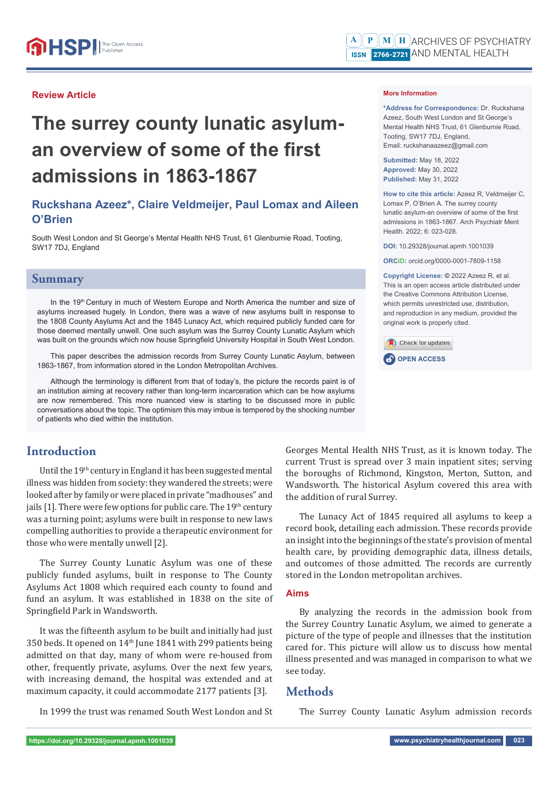### **Review Article**

# **The surrey county lunatic asylum**an overview of some of the first **admissions in 1863-1867**

# **Ruckshana Azeez\*, Claire Veldmeijer, Paul Lomax and Aileen O'Brien**

South West London and St George's Mental Health NHS Trust, 61 Glenburnie Road, Tooting, SW17 7DJ, England

### **Summary**

In the 19<sup>th</sup> Century in much of Western Europe and North America the number and size of asylums increased hugely. In London, there was a wave of new asylums built in response to the 1808 County Asylums Act and the 1845 Lunacy Act, which required publicly funded care for those deemed mentally unwell. One such asylum was the Surrey County Lunatic Asylum which was built on the grounds which now house Springfield University Hospital in South West London.

This paper describes the admission records from Surrey County Lunatic Asylum, between 1863-1867, from information stored in the London Metropolitan Archives.

Although the terminology is different from that of today's, the picture the records paint is of an institution aiming at recovery rather than long-term incarceration which can be how asylums are now remembered. This more nuanced view is starting to be discussed more in public conversations about the topic. The optimism this may imbue is tempered by the shocking number of patients who died within the institution.

# **Introduction**

Until the 19th century in England it has been suggested mental illness was hidden from society: they wandered the streets; were looked after by family or were placed in private "madhouses" and jails  $[1]$ . There were few options for public care. The 19<sup>th</sup> century was a turning point; asylums were built in response to new laws compelling authorities to provide a therapeutic environment for those who were mentally unwell [2].

The Surrey County Lunatic Asylum was one of these publicly funded asylums, built in response to The County Asylums Act 1808 which required each county to found and fund an asylum. It was established in 1838 on the site of Springfield Park in Wandsworth.

It was the fifteenth asylum to be built and initially had just 350 beds. It opened on 14th June 1841 with 299 patients being admitted on that day, many of whom were re-housed from other, frequently private, asylums. Over the next few years, with increasing demand, the hospital was extended and at maximum capacity, it could accommodate 2177 patients [3].

In 1999 the trust was renamed South West London and St

### **More Information**

**\*Address for Correspondence:** Dr. Ruckshana Azeez, South West London and St George's Mental Health NHS Trust, 61 Glenburnie Road, Tooting, SW17 7DJ, England, Email: ruckshanaazeez@gmail.com

**Submitted:** May 18, 2022 **Approved:** May 30, 2022 **Published:** May 31, 2022

**How to cite this article:** Azeez R, Veldmeijer C, Lomax P, O'Brien A. The surrey county lunatic asylum-an overview of some of the first admissions in 1863-1867. Arch Psychiatr Ment Health. 2022; 6: 023-028.

**DOI:** 10.29328/journal.apmh.1001039

**ORCiD:** orcid.org/0000-0001-7809-1158

**Copyright License: ©** 2022 Azeez R, et al. This is an open access article distributed under the Creative Commons Attribution License, which permits unrestricted use, distribution, and reproduction in any medium, provided the original work is properly cited.





Georges Mental Health NHS Trust, as it is known today. The current Trust is spread over 3 main inpatient sites; serving the boroughs of Richmond, Kingston, Merton, Sutton, and Wandsworth. The historical Asylum covered this area with the addition of rural Surrey.

The Lunacy Act of 1845 required all asylums to keep a record book, detailing each admission. These records provide an insight into the beginnings of the state's provision of mental health care, by providing demographic data, illness details, and outcomes of those admitted. The records are currently stored in the London metropolitan archives.

### **Aims**

By analyzing the records in the admission book from the Surrey Country Lunatic Asylum, we aimed to generate a picture of the type of people and illnesses that the institution cared for. This picture will allow us to discuss how mental illness presented and was managed in comparison to what we see today.

# **Methods**

The Surrey County Lunatic Asylum admission records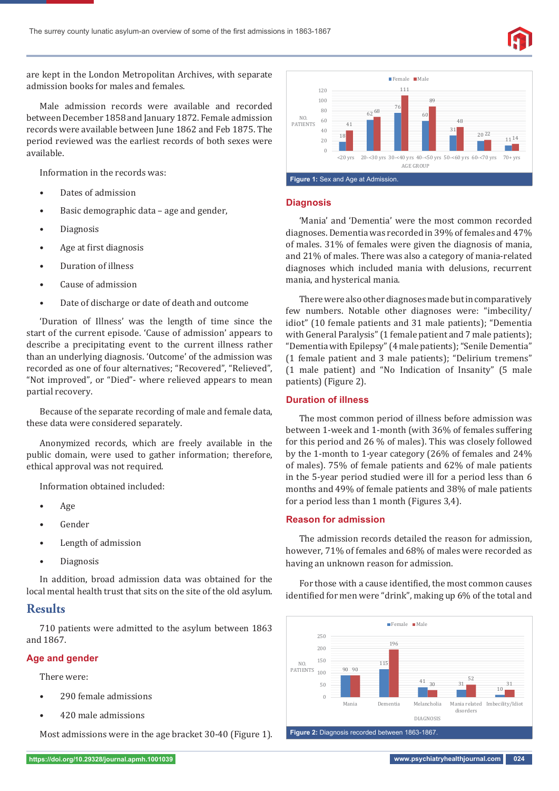

are kept in the London Metropolitan Archives, with separate admission books for males and females.

Male admission records were available and recorded between December 1858 and January 1872. Female admission records were available between June 1862 and Feb 1875. The period reviewed was the earliest records of both sexes were available.

Information in the records was:

- Dates of admission
- Basic demographic data age and gender,
- Diagnosis
- Age at first diagnosis
- Duration of illness
- Cause of admission
- Date of discharge or date of death and outcome

'Duration of Illness' was the length of time since the start of the current episode. 'Cause of admission' appears to describe a precipitating event to the current illness rather than an underlying diagnosis. 'Outcome' of the admission was recorded as one of four alternatives; "Recovered", "Relieved", "Not improved", or "Died"- where relieved appears to mean partial recovery.

Because of the separate recording of male and female data, these data were considered separately.

Anonymized records, which are freely available in the public domain, were used to gather information; therefore, ethical approval was not required.

Information obtained included:

- Age
- Gender
- Length of admission
- Diagnosis

In addition, broad admission data was obtained for the local mental health trust that sits on the site of the old asylum.

### **Results**

710 patients were admitted to the asylum between 1863 and 1867.

### **Age and gender**

There were:

- 290 female admissions
- 420 male admissions

Most admissions were in the age bracket 30-40 (Figure 1).



### **Diagnosis**

'Mania' and 'Dementia' were the most common recorded diagnoses. Dementia was recorded in 39% of females and 47% of males. 31% of females were given the diagnosis of mania, and 21% of males. There was also a category of mania-related diagnoses which included mania with delusions, recurrent mania, and hysterical mania.

There were also other diagnoses made but in comparatively few numbers. Notable other diagnoses were: "imbecility/ idiot" (10 female patients and 31 male patients); "Dementia with General Paralysis" (1 female patient and 7 male patients); "Dementia with Epilepsy" (4 male patients); "Senile Dementia" (1 female patient and 3 male patients); "Delirium tremens" (1 male patient) and "No Indication of Insanity" (5 male patients) (Figure 2).

### **Duration of illness**

The most common period of illness before admission was between 1-week and 1-month (with 36% of females suffering for this period and 26 % of males). This was closely followed by the 1-month to 1-year category (26% of females and 24% of males). 75% of female patients and 62% of male patients in the 5-year period studied were ill for a period less than 6 months and 49% of female patients and 38% of male patients for a period less than 1 month (Figures 3,4).

### **Reason for admission**

The admission records detailed the reason for admission, however, 71% of females and 68% of males were recorded as having an unknown reason for admission.

For those with a cause identified, the most common causes identified for men were "drink", making up 6% of the total and

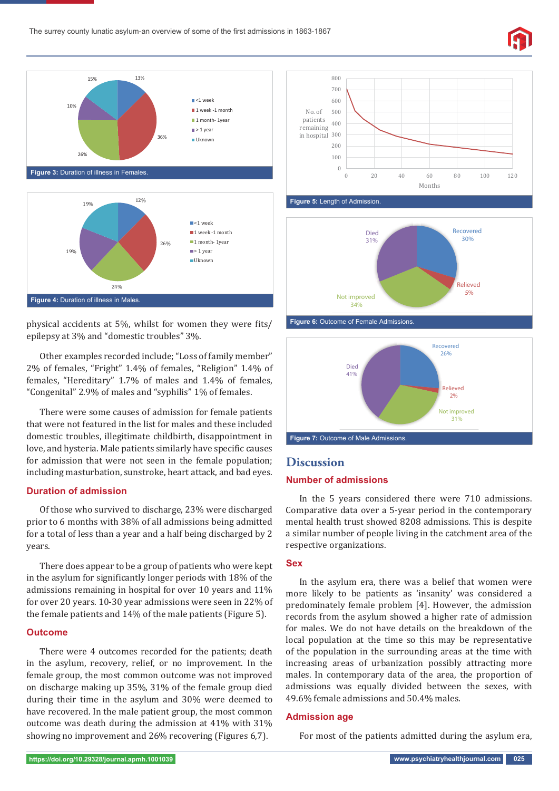

physical accidents at 5%, whilst for women they were fits/ epilepsy at 3% and "domestic troubles" 3%.

Other examples recorded include; "Loss of family member" 2% of females, "Fright" 1.4% of females, "Religion" 1.4% of females, "Hereditary" 1.7% of males and 1.4% of females, "Congenital" 2.9% of males and "syphilis" 1% of females.

There were some causes of admission for female patients that were not featured in the list for males and these included domestic troubles, illegitimate childbirth, disappointment in love, and hysteria. Male patients similarly have specific causes for admission that were not seen in the female population; including masturbation, sunstroke, heart attack, and bad eyes.

### **Duration of admission**

Of those who survived to discharge, 23% were discharged prior to 6 months with 38% of all admissions being admitted for a total of less than a year and a half being discharged by 2 years.

There does appear to be a group of patients who were kept in the asylum for significantly longer periods with 18% of the admissions remaining in hospital for over 10 years and 11% for over 20 years. 10-30 year admissions were seen in 22% of the female patients and 14% of the male patients (Figure 5).

### **Outcome**

There were 4 outcomes recorded for the patients; death in the asylum, recovery, relief, or no improvement. In the female group, the most common outcome was not improved on discharge making up 35%, 31% of the female group died during their time in the asylum and 30% were deemed to have recovered. In the male patient group, the most common outcome was death during the admission at 41% with 31% showing no improvement and 26% recovering (Figures 6,7).



**Recovered 30% Relieved 5% Not improved Died 31%**



**34%**



# **Discussion**

### **Number of admissions**

In the 5 years considered there were 710 admissions. Comparative data over a 5-year period in the contemporary mental health trust showed 8208 admissions. This is despite a similar number of people living in the catchment area of the respective organizations.

### **Sex**

In the asylum era, there was a belief that women were more likely to be patients as 'insanity' was considered a predominately female problem [4]. However, the admission records from the asylum showed a higher rate of admission for males. We do not have details on the breakdown of the local population at the time so this may be representative of the population in the surrounding areas at the time with increasing areas of urbanization possibly attracting more males. In contemporary data of the area, the proportion of admissions was equally divided between the sexes, with 49.6% female admissions and 50.4% males.

### **Admission age**

For most of the patients admitted during the asylum era,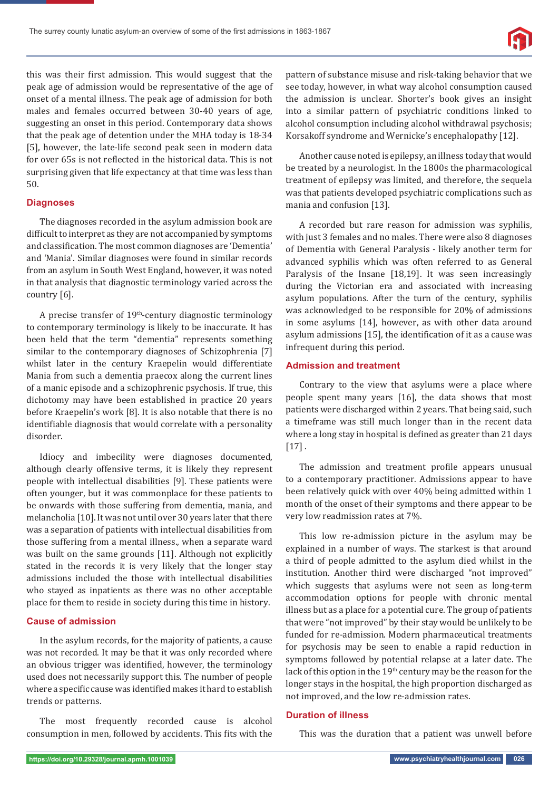

this was their ϐirst admission. This would suggest that the peak age of admission would be representative of the age of onset of a mental illness. The peak age of admission for both males and females occurred between 30-40 years of age, suggesting an onset in this period. Contemporary data shows that the peak age of detention under the MHA today is 18-34 [5], however, the late-life second peak seen in modern data for over 65s is not reflected in the historical data. This is not surprising given that life expectancy at that time was less than 50.

### **Diagnoses**

The diagnoses recorded in the asylum admission book are difficult to interpret as they are not accompanied by symptoms and classification. The most common diagnoses are 'Dementia' and 'Mania'. Similar diagnoses were found in similar records from an asylum in South West England, however, it was noted in that analysis that diagnostic terminology varied across the country [6].

A precise transfer of  $19<sup>th</sup>$ -century diagnostic terminology to contemporary terminology is likely to be inaccurate. It has been held that the term "dementia" represents something similar to the contemporary diagnoses of Schizophrenia [7] whilst later in the century Kraepelin would differentiate Mania from such a dementia praecox along the current lines of a manic episode and a schizophrenic psychosis. If true, this dichotomy may have been established in practice 20 years before Kraepelin's work [8]. It is also notable that there is no identifiable diagnosis that would correlate with a personality disorder.

Idiocy and imbecility were diagnoses documented, although clearly offensive terms, it is likely they represent people with intellectual disabilities [9]. These patients were often younger, but it was commonplace for these patients to be onwards with those suffering from dementia, mania, and melancholia [10]. It was not until over 30 years later that there was a separation of patients with intellectual disabilities from those suffering from a mental illness., when a separate ward was built on the same grounds [11]. Although not explicitly stated in the records it is very likely that the longer stay admissions included the those with intellectual disabilities who stayed as inpatients as there was no other acceptable place for them to reside in society during this time in history.

### **Cause of admission**

In the asylum records, for the majority of patients, a cause was not recorded. It may be that it was only recorded where an obvious trigger was identified, however, the terminology used does not necessarily support this. The number of people where a specific cause was identified makes it hard to establish trends or patterns.

The most frequently recorded cause is alcohol consumption in men, followed by accidents. This fits with the

pattern of substance misuse and risk-taking behavior that we see today, however, in what way alcohol consumption caused the admission is unclear. Shorter's book gives an insight into a similar pattern of psychiatric conditions linked to alcohol consumption including alcohol withdrawal psychosis; Korsakoff syndrome and Wernicke's encephalopathy [12].

Another cause noted is epilepsy, an illness today that would be treated by a neurologist. In the 1800s the pharmacological treatment of epilepsy was limited, and therefore, the sequela was that patients developed psychiatric complications such as mania and confusion [13].

A recorded but rare reason for admission was syphilis, with just 3 females and no males. There were also 8 diagnoses of Dementia with General Paralysis - likely another term for advanced syphilis which was often referred to as General Paralysis of the Insane [18,19]. It was seen increasingly during the Victorian era and associated with increasing asylum populations. After the turn of the century, syphilis was acknowledged to be responsible for 20% of admissions in some asylums [14], however, as with other data around asylum admissions [15], the identification of it as a cause was infrequent during this period.

### **Admission and treatment**

Contrary to the view that asylums were a place where people spent many years [16], the data shows that most patients were discharged within 2 years. That being said, such a timeframe was still much longer than in the recent data where a long stay in hospital is defined as greater than 21 days  $[17]$ .

The admission and treatment profile appears unusual to a contemporary practitioner. Admissions appear to have been relatively quick with over 40% being admitted within 1 month of the onset of their symptoms and there appear to be very low readmission rates at 7%.

This low re-admission picture in the asylum may be explained in a number of ways. The starkest is that around a third of people admitted to the asylum died whilst in the institution. Another third were discharged "not improved" which suggests that asylums were not seen as long-term accommodation options for people with chronic mental illness but as a place for a potential cure. The group of patients that were "not improved" by their stay would be unlikely to be funded for re-admission. Modern pharmaceutical treatments for psychosis may be seen to enable a rapid reduction in symptoms followed by potential relapse at a later date. The lack of this option in the 19<sup>th</sup> century may be the reason for the longer stays in the hospital, the high proportion discharged as not improved, and the low re-admission rates.

### **Duration of illness**

This was the duration that a patient was unwell before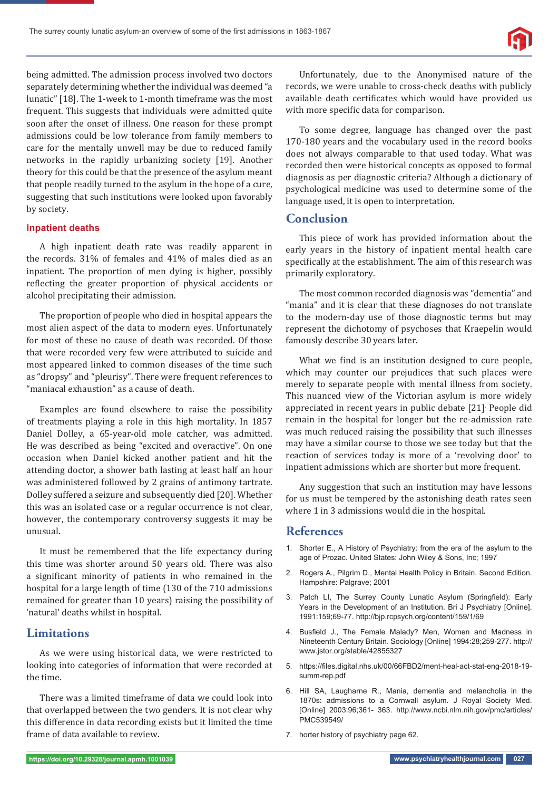

being admitted. The admission process involved two doctors separately determining whether the individual was deemed "a lunatic" [18]. The 1-week to 1-month timeframe was the most frequent. This suggests that individuals were admitted quite soon after the onset of illness. One reason for these prompt admissions could be low tolerance from family members to care for the mentally unwell may be due to reduced family networks in the rapidly urbanizing society [19]. Another theory for this could be that the presence of the asylum meant that people readily turned to the asylum in the hope of a cure, suggesting that such institutions were looked upon favorably by society.

### **Inpatient deaths**

A high inpatient death rate was readily apparent in the records. 31% of females and 41% of males died as an inpatient. The proportion of men dying is higher, possibly reflecting the greater proportion of physical accidents or alcohol precipitating their admission.

The proportion of people who died in hospital appears the most alien aspect of the data to modern eyes. Unfortunately for most of these no cause of death was recorded. Of those that were recorded very few were attributed to suicide and most appeared linked to common diseases of the time such as "dropsy" and "pleurisy". There were frequent references to "maniacal exhaustion" as a cause of death.

Examples are found elsewhere to raise the possibility of treatments playing a role in this high mortality. In 1857 Daniel Dolley, a 65-year-old mole catcher, was admitted. He was described as being "excited and overactive". On one occasion when Daniel kicked another patient and hit the attending doctor, a shower bath lasting at least half an hour was administered followed by 2 grains of antimony tartrate. Dolley suffered a seizure and subsequently died [20]. Whether this was an isolated case or a regular occurrence is not clear, however, the contemporary controversy suggests it may be unusual.

It must be remembered that the life expectancy during this time was shorter around 50 years old. There was also a significant minority of patients in who remained in the hospital for a large length of time (130 of the 710 admissions remained for greater than 10 years) raising the possibility of 'natural' deaths whilst in hospital.

# **Limitations**

As we were using historical data, we were restricted to looking into categories of information that were recorded at the time.

There was a limited timeframe of data we could look into that overlapped between the two genders. It is not clear why this difference in data recording exists but it limited the time frame of data available to review.

Unfortunately, due to the Anonymised nature of the records, we were unable to cross-check deaths with publicly available death certificates which would have provided us with more specific data for comparison.

To some degree, language has changed over the past 170-180 years and the vocabulary used in the record books does not always comparable to that used today. What was recorded then were historical concepts as opposed to formal diagnosis as per diagnostic criteria? Although a dictionary of psychological medicine was used to determine some of the language used, it is open to interpretation.

# **Conclusion**

This piece of work has provided information about the early years in the history of inpatient mental health care specifically at the establishment. The aim of this research was primarily exploratory.

The most common recorded diagnosis was "dementia" and "mania" and it is clear that these diagnoses do not translate to the modern-day use of those diagnostic terms but may represent the dichotomy of psychoses that Kraepelin would famously describe 30 years later.

What we find is an institution designed to cure people, which may counter our prejudices that such places were merely to separate people with mental illness from society. This nuanced view of the Victorian asylum is more widely appreciated in recent years in public debate [21]. People did remain in the hospital for longer but the re-admission rate was much reduced raising the possibility that such illnesses may have a similar course to those we see today but that the reaction of services today is more of a 'revolving door' to inpatient admissions which are shorter but more frequent.

Any suggestion that such an institution may have lessons for us must be tempered by the astonishing death rates seen where 1 in 3 admissions would die in the hospital.

# **References**

- 1. Shorter E., A History of Psychiatry: from the era of the asylum to the age of Prozac. United States: John Wiley & Sons, Inc; 1997
- 2. Rogers A., Pilgrim D., Mental Health Policy in Britain. Second Edition. Hampshire: Palgrave; 2001
- 3. Patch LI, The Surrey County Lunatic Asylum (Springfield): Early Years in the Development of an Institution. Bri J Psychiatry [Online]. 1991:159;69-77. http://bjp.rcpsych.org/content/159/1/69
- 4. Busfield J., The Female Malady? Men, Women and Madness in Nineteenth Century Britain. Sociology [Online] 1994:28;259-277. http:// www.jstor.org/stable/42855327
- 5. https://files.digital.nhs.uk/00/66FBD2/ment-heal-act-stat-eng-2018-19summ-rep.pdf
- 6. Hill SA, Laugharne R., Mania, dementia and melancholia in the 1870s: admissions to a Cornwall asylum. J Royal Society Med. [Online] 2003:96;361- 363. http://www.ncbi.nlm.nih.gov/pmc/articles/ PMC539549/
- 7. horter history of psychiatry page 62.